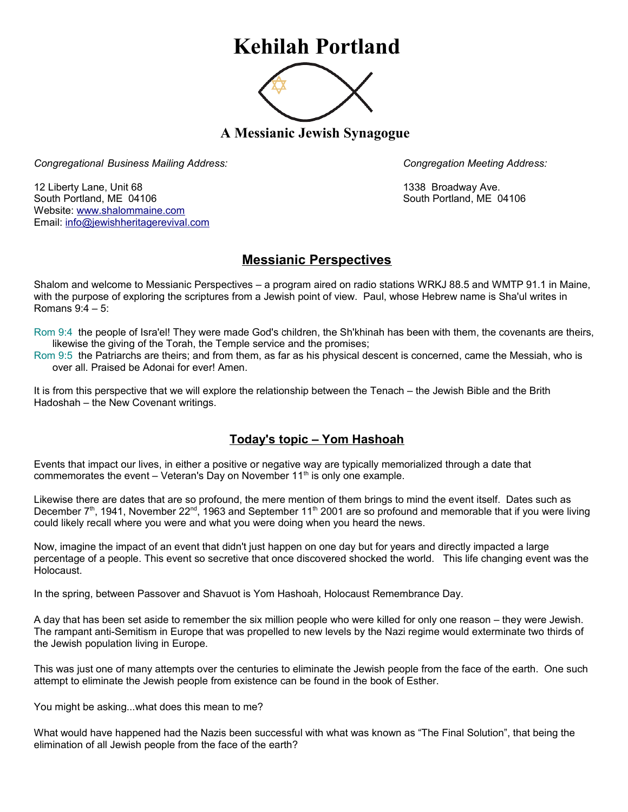## **Kehilah Portland**



**A Messianic Jewish Synagogue** 

*Congregational Business Mailing Address: Congregation Meeting Address:*

12 Liberty Lane, Unit 68 1338 Broadway Ave. South Portland, ME 04106 South Portland, ME 04106 Website: [www.shalommaine.com](http://www.shalommaine.com/) Email: [info@jewishheritagerevival.com](mailto:info@jewishheritagerevival.com) 

## **Messianic Perspectives**

Shalom and welcome to Messianic Perspectives – a program aired on radio stations WRKJ 88.5 and WMTP 91.1 in Maine, with the purpose of exploring the scriptures from a Jewish point of view. Paul, whose Hebrew name is Sha'ul writes in Romans 9:4 – 5:

Rom 9:4 the people of Isra'el! They were made God's children, the Sh'khinah has been with them, the covenants are theirs, likewise the giving of the Torah, the Temple service and the promises;

Rom 9:5 the Patriarchs are theirs; and from them, as far as his physical descent is concerned, came the Messiah, who is over all. Praised be Adonai for ever! Amen.

It is from this perspective that we will explore the relationship between the Tenach – the Jewish Bible and the Brith Hadoshah – the New Covenant writings.

## **Today's topic – Yom Hashoah**

Events that impact our lives, in either a positive or negative way are typically memorialized through a date that commemorates the event – Veteran's Day on November  $11<sup>th</sup>$  is only one example.

Likewise there are dates that are so profound, the mere mention of them brings to mind the event itself. Dates such as December 7<sup>th</sup>, 1941, November 22<sup>nd</sup>, 1963 and September 11<sup>th</sup> 2001 are so profound and memorable that if you were living could likely recall where you were and what you were doing when you heard the news.

Now, imagine the impact of an event that didn't just happen on one day but for years and directly impacted a large percentage of a people. This event so secretive that once discovered shocked the world. This life changing event was the Holocaust.

In the spring, between Passover and Shavuot is Yom Hashoah, Holocaust Remembrance Day.

A day that has been set aside to remember the six million people who were killed for only one reason – they were Jewish. The rampant anti-Semitism in Europe that was propelled to new levels by the Nazi regime would exterminate two thirds of the Jewish population living in Europe.

This was just one of many attempts over the centuries to eliminate the Jewish people from the face of the earth. One such attempt to eliminate the Jewish people from existence can be found in the book of Esther.

You might be asking...what does this mean to me?

What would have happened had the Nazis been successful with what was known as "The Final Solution", that being the elimination of all Jewish people from the face of the earth?